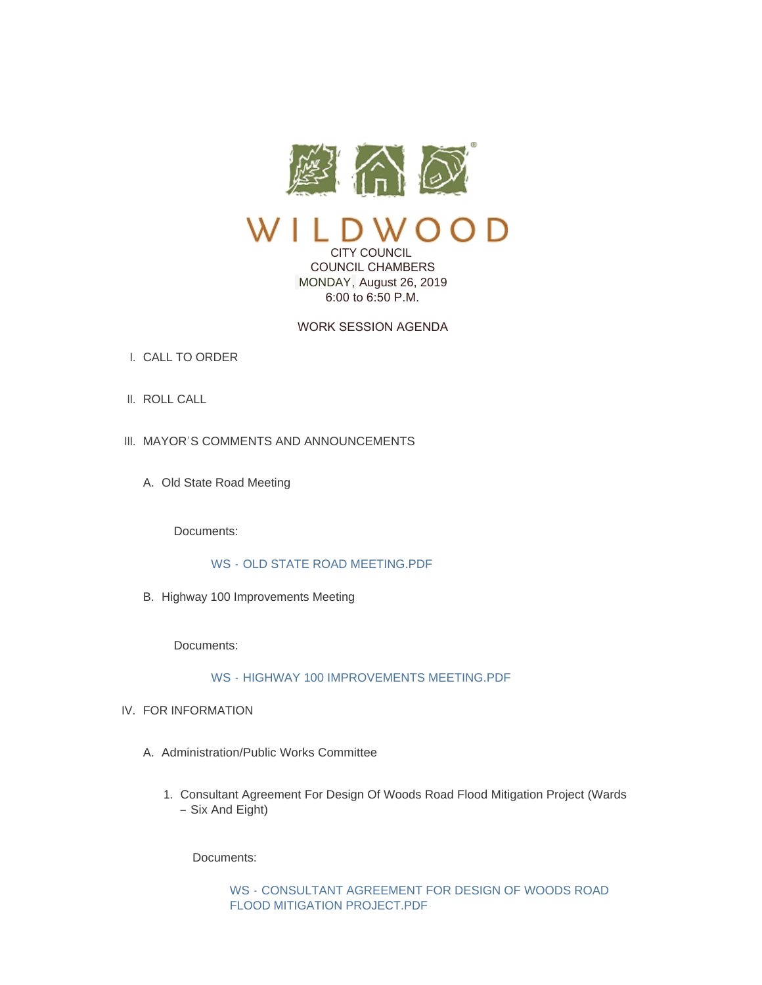

CITY COUNCIL COUNCIL CHAMBERS MONDAY, August 26, 2019

6:00 to 6:50 P.M.

# WORK SESSION AGENDA

- CALL TO ORDER I.
- II. ROLL CALL
- III. MAYOR'S COMMENTS AND ANNOUNCEMENTS
	- A. Old State Road Meeting

Documents:

# WS - [OLD STATE ROAD MEETING.PDF](https://www.cityofwildwood.com/AgendaCenter/ViewFile/Item/21734?fileID=27221)

B. Highway 100 Improvements Meeting

Documents:

# WS - [HIGHWAY 100 IMPROVEMENTS MEETING.PDF](https://www.cityofwildwood.com/AgendaCenter/ViewFile/Item/21735?fileID=27236)

- IV. FOR INFORMATION
	- A. Administration/Public Works Committee
		- 1. Consultant Agreement For Design Of Woods Road Flood Mitigation Project (Wards – Six And Eight)

Documents:

WS - [CONSULTANT AGREEMENT FOR DESIGN OF WOODS ROAD](https://www.cityofwildwood.com/AgendaCenter/ViewFile/Item/21680?fileID=27194)  FLOOD MITIGATION PROJECT.PDF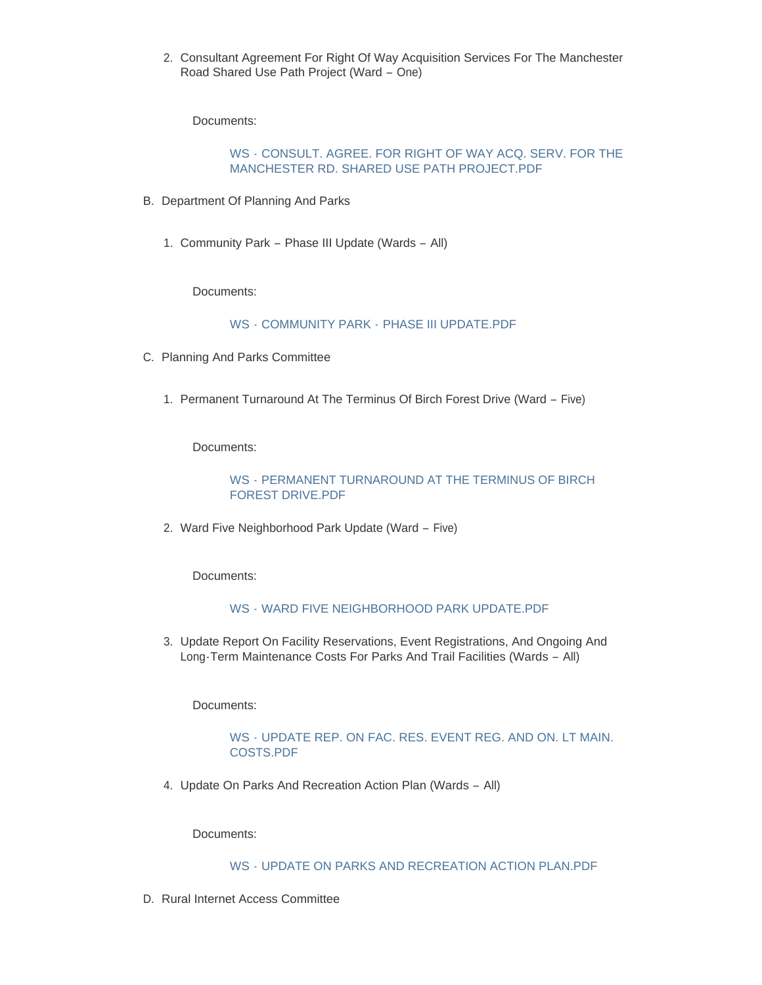2. Consultant Agreement For Right Of Way Acquisition Services For The Manchester Road Shared Use Path Project (Ward – One)

Documents:

## WS - [CONSULT. AGREE. FOR RIGHT OF WAY ACQ. SERV. FOR THE](https://www.cityofwildwood.com/AgendaCenter/ViewFile/Item/21681?fileID=27195)  MANCHESTER RD. SHARED USE PATH PROJECT.PDF

- B. Department Of Planning And Parks
	- 1. Community Park Phase III Update (Wards All)

Documents:

WS - COMMUNITY PARK - [PHASE III UPDATE.PDF](https://www.cityofwildwood.com/AgendaCenter/ViewFile/Item/21683?fileID=27192)

- C. Planning And Parks Committee
	- 1. Permanent Turnaround At The Terminus Of Birch Forest Drive (Ward Five)

Documents:

### WS - [PERMANENT TURNAROUND AT THE TERMINUS OF BIRCH](https://www.cityofwildwood.com/AgendaCenter/ViewFile/Item/21685?fileID=27200)  FOREST DRIVE.PDF

2. Ward Five Neighborhood Park Update (Ward - Five)

Documents:

## WS - [WARD FIVE NEIGHBORHOOD PARK UPDATE.PDF](https://www.cityofwildwood.com/AgendaCenter/ViewFile/Item/21686?fileID=27196)

3. Update Report On Facility Reservations, Event Registrations, And Ongoing And Long-Term Maintenance Costs For Parks And Trail Facilities (Wards – All)

Documents:

### WS - [UPDATE REP. ON FAC. RES. EVENT REG. AND ON. LT MAIN.](https://www.cityofwildwood.com/AgendaCenter/ViewFile/Item/21687?fileID=27197)  COSTS.PDF

4. Update On Parks And Recreation Action Plan (Wards - All)

Documents:

## WS - [UPDATE ON PARKS AND RECREATION ACTION PLAN.PDF](https://www.cityofwildwood.com/AgendaCenter/ViewFile/Item/21688?fileID=27198)

D. Rural Internet Access Committee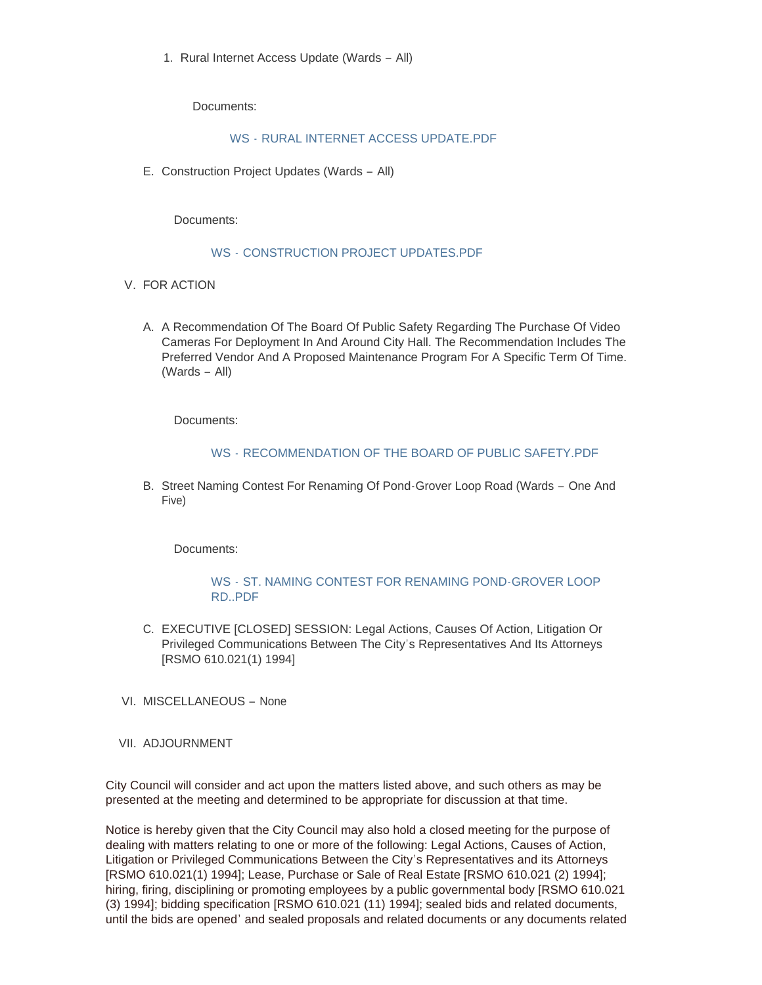1. Rural Internet Access Update (Wards - All)

Documents:

#### WS - [RURAL INTERNET ACCESS UPDATE.PDF](https://www.cityofwildwood.com/AgendaCenter/ViewFile/Item/21690?fileID=27201)

E. Construction Project Updates (Wards - All)

Documents:

#### WS - [CONSTRUCTION PROJECT UPDATES.PDF](https://www.cityofwildwood.com/AgendaCenter/ViewFile/Item/21693?fileID=27193)

- V. FOR ACTION
	- A. A Recommendation Of The Board Of Public Safety Regarding The Purchase Of Video Cameras For Deployment In And Around City Hall. The Recommendation Includes The Preferred Vendor And A Proposed Maintenance Program For A Specific Term Of Time. (Wards – All)

Documents:

#### WS - [RECOMMENDATION OF THE BOARD OF PUBLIC SAFETY.PDF](https://www.cityofwildwood.com/AgendaCenter/ViewFile/Item/21737?fileID=27202)

B. Street Naming Contest For Renaming Of Pond-Grover Loop Road (Wards - One And Five)

Documents:

### WS - [ST. NAMING CONTEST FOR RENAMING POND-GROVER LOOP](https://www.cityofwildwood.com/AgendaCenter/ViewFile/Item/21696?fileID=27199)  RD..PDF

- C. EXECUTIVE [CLOSED] SESSION: Legal Actions, Causes Of Action, Litigation Or Privileged Communications Between The City's Representatives And Its Attorneys [RSMO 610.021(1) 1994]
- VI. MISCELLANEOUS None
- VII. ADJOURNMENT

City Council will consider and act upon the matters listed above, and such others as may be presented at the meeting and determined to be appropriate for discussion at that time.

Notice is hereby given that the City Council may also hold a closed meeting for the purpose of dealing with matters relating to one or more of the following: Legal Actions, Causes of Action, Litigation or Privileged Communications Between the City's Representatives and its Attorneys [RSMO 610.021(1) 1994]; Lease, Purchase or Sale of Real Estate [RSMO 610.021 (2) 1994]; hiring, firing, disciplining or promoting employees by a public governmental body [RSMO 610.021 (3) 1994]; bidding specification [RSMO 610.021 (11) 1994]; sealed bids and related documents, until the bids are opened' and sealed proposals and related documents or any documents related